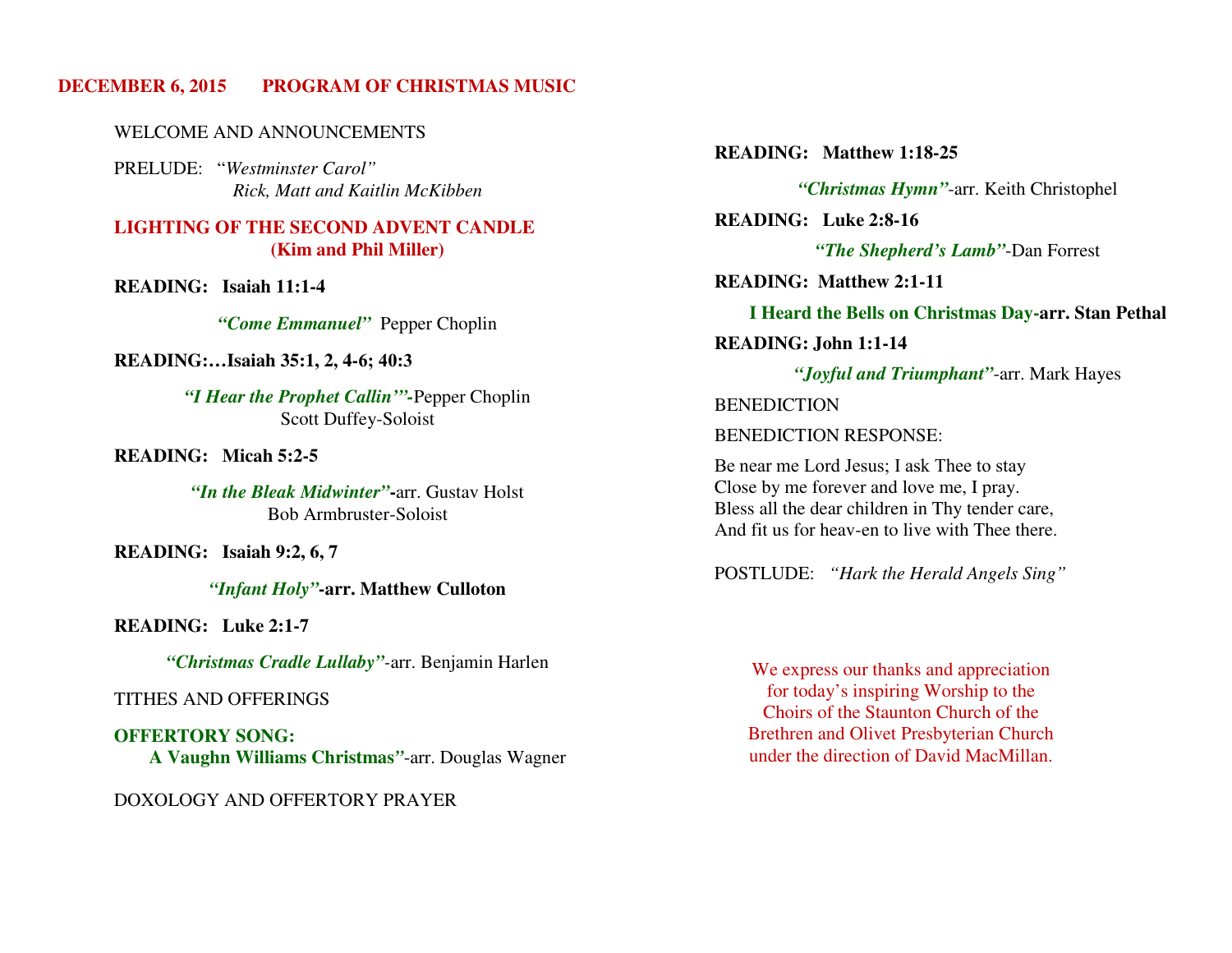# **DECEMBER 6, 2015 PROGRAM OF CHRISTMAS MUSIC**

#### WELCOME AND ANNOUNCEMENTS

 PRELUDE: "*Westminster Carol" Rick, Matt and Kaitlin McKibben* 

# **LIGHTING OF THE SECOND ADVENT CANDLE (Kim and Phil Miller)**

**READING: Isaiah 11:1-4** 

*"Come Emmanuel"* Pepper Choplin

#### **READING:…Isaiah 35:1, 2, 4-**6; 40:3

*"I Hear the Prophet Callin'"-*Pepper Choplin Scott Duffey-Soloist

## **READING: Micah 5:2-5**

*"In the Bleak Midwinter"***-**arr. Gustav Holst Bob Armbruster-Soloist

#### **READING: Isaiah 9:2, 6, 7**

*"Infant Holy"***-arr. Matthew Culloton**

#### **READING: Luke 2:1-7**

*"Christmas Cradle Lullaby"-*arr. Benjamin Harlen

#### TITHES AND OFFERINGS

**OFFERTORY SONG: A Vaughn Williams Christmas***"*-arr. Douglas Wagner

## DOXOLOGY AND OFFERTORY PRAYER

**READING: Matthew 1:18-25** 

*"Christmas Hymn"*-arr. Keith Christophel

**READING: Luke 2:8-16** 

*"The Shepherd's Lamb"*-Dan Forrest

**READING: Matthew 2:1-11** 

**I Heard the Bells on Christmas Day-arr. Stan Pethal** 

 **READING: John 1:1-14** 

*"Joyful and Triumphant"*-arr. Mark Hayes

**BENEDICTION** 

BENEDICTION RESPONSE:

Be near me Lord Jesus; I ask Thee to stay Close by me forever and love me, I pray. Bless all the dear children in Thy tender care, And fit us for heav-en to live with Thee there.

POSTLUDE: *"Hark the Herald Angels Sing"*

We express our thanks and appreciation for today's inspiring Worship to the Choirs of the Staunton Church of the Brethren and Olivet Presbyterian Church under the direction of David MacMillan.